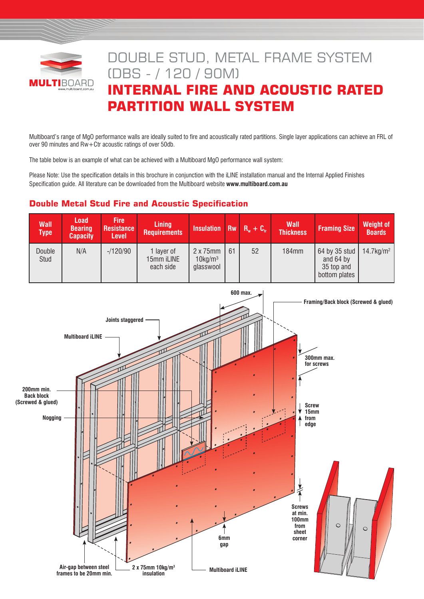

# DOUBLE STUD, METAL FRAME SYSTEM (DBS - / 120 / 90M) **INTERNAL FIRE AND ACOUSTIC RATED PARTITION WALL SYSTEM**

Multiboard's range of MgO performance walls are ideally suited to fire and acoustically rated partitions. Single layer applications can achieve an FRL of over 90 minutes and Rw+Ctr acoustic ratings of over 50db.

The table below is an example of what can be achieved with a Multiboard MgO performance wall system:

Please Note: Use the specification details in this brochure in conjunction with the iLINE installation manual and the Internal Applied Finishes Specification guide. All literature can be downloaded from the Multiboard website **www.multiboard.com.au** 

# **Double Metal Stud Fire and Acoustic Specification**

| <b>Wall</b><br><b>Type</b> | Load<br><b>Bearing</b><br><b>Capacity</b> | <b>Fire</b><br><b>Resistance</b><br><b>Level</b> | <b>Lining</b><br><b>Requirements</b>  | Insulation Rw $R_w + C_w$                               |    |    | <b>Wall</b><br><b>Thickness</b> | <b>Framing Size</b>                                       | <b>Weight of</b><br><b>Boards</b> |
|----------------------------|-------------------------------------------|--------------------------------------------------|---------------------------------------|---------------------------------------------------------|----|----|---------------------------------|-----------------------------------------------------------|-----------------------------------|
| Double<br>Stud             | N/A                                       | $-120/90$                                        | 1 laver of<br>15mm iLINE<br>each side | $2 \times 75$ mm<br>$10$ kg/m <sup>3</sup><br>glasswool | 61 | 52 | <b>184mm</b>                    | 64 by 35 stud<br>and 64 by<br>35 top and<br>bottom plates | $14.7$ kg/m <sup>2</sup>          |